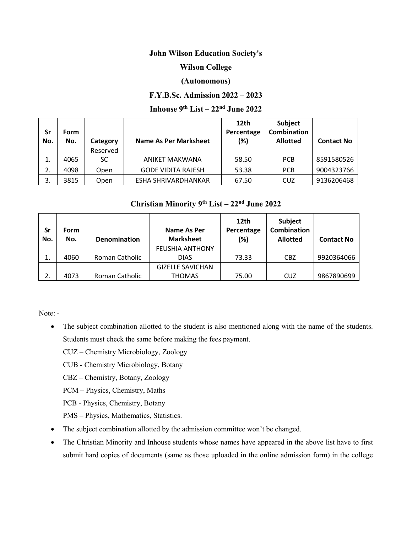### **John Wilson Education Society's**

# **Wilson College**

### **(Autonomous)**

## **F.Y.B.Sc. Admission 2022 – 2023**

# **Inhouse 9 th List – 22 nd June 2022**

|          |      |          |                              | 12th       | <b>Subject</b>     |                   |
|----------|------|----------|------------------------------|------------|--------------------|-------------------|
| Sr       | Form |          |                              | Percentage | <b>Combination</b> |                   |
| No.      | No.  | Category | <b>Name As Per Marksheet</b> | (%)        | <b>Allotted</b>    | <b>Contact No</b> |
|          |      | Reserved |                              |            |                    |                   |
| ∸.       | 4065 | SC       | ANIKET MAKWANA               | 58.50      | <b>PCB</b>         | 8591580526        |
| <u>.</u> | 4098 | Open     | <b>GODE VIDITA RAJESH</b>    | 53.38      | <b>PCB</b>         | 9004323766        |
|          | 3815 | Open     | ESHA SHRIVARDHANKAR          | 67.50      | CUZ                | 9136206468        |

# **Christian Minority 9 th List – 22 nd June 2022**

| <b>Sr</b><br>No. | <b>Form</b><br>No. | Denomination   | Name As Per<br><b>Marksheet</b> | 12th<br>Percentage<br>(%) | <b>Subject</b><br>Combination<br><b>Allotted</b> | <b>Contact No</b> |
|------------------|--------------------|----------------|---------------------------------|---------------------------|--------------------------------------------------|-------------------|
|                  |                    |                | <b>FEUSHIA ANTHONY</b>          |                           |                                                  |                   |
| ⊥.               | 4060               | Roman Catholic | <b>DIAS</b>                     | 73.33                     | <b>CBZ</b>                                       | 9920364066        |
|                  |                    |                | <b>GIZELLE SAVICHAN</b>         |                           |                                                  |                   |
| <u>.</u>         | 4073               | Roman Catholic | <b>THOMAS</b>                   | 75.00                     | CUZ                                              | 9867890699        |

Note: -

• The subject combination allotted to the student is also mentioned along with the name of the students. Students must check the same before making the fees payment.

CUZ – Chemistry Microbiology, Zoology

CUB - Chemistry Microbiology, Botany

CBZ – Chemistry, Botany, Zoology

PCM – Physics, Chemistry, Maths

PCB - Physics, Chemistry, Botany

PMS – Physics, Mathematics, Statistics.

- The subject combination allotted by the admission committee won't be changed.
- The Christian Minority and Inhouse students whose names have appeared in the above list have to first submit hard copies of documents (same as those uploaded in the online admission form) in the college